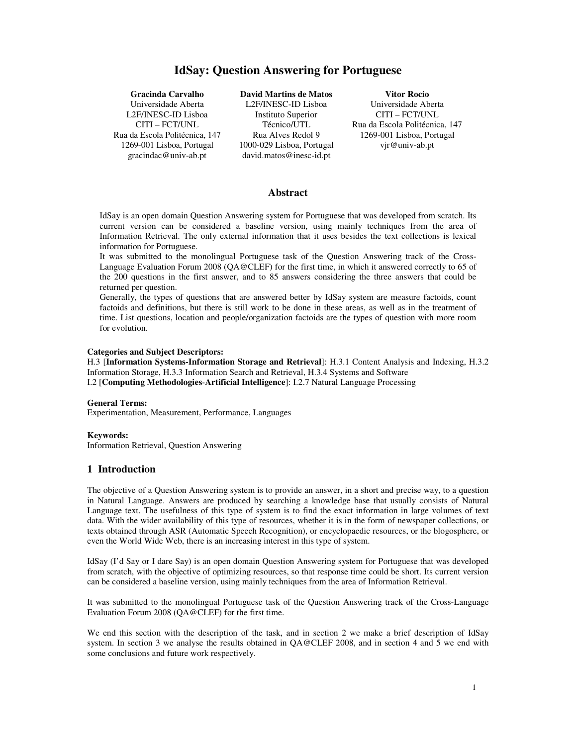# **IdSay: Question Answering for Portuguese**

**Gracinda Carvalho**  Universidade Aberta L2F/INESC-ID Lisboa CITI – FCT/UNL Rua da Escola Politécnica, 147 1269-001 Lisboa, Portugal gracindac@univ-ab.pt

**David Martins de Matos**  L2F/INESC-ID Lisboa Instituto Superior Técnico/UTL Rua Alves Redol 9 1000-029 Lisboa, Portugal david.matos@inesc-id.pt

**Vitor Rocio** Universidade Aberta CITI – FCT/UNL Rua da Escola Politécnica, 147 1269-001 Lisboa, Portugal vjr@univ-ab.pt

#### **Abstract**

IdSay is an open domain Question Answering system for Portuguese that was developed from scratch. Its current version can be considered a baseline version, using mainly techniques from the area of Information Retrieval. The only external information that it uses besides the text collections is lexical information for Portuguese.

It was submitted to the monolingual Portuguese task of the Question Answering track of the Cross-Language Evaluation Forum 2008 (QA@CLEF) for the first time, in which it answered correctly to 65 of the 200 questions in the first answer, and to 85 answers considering the three answers that could be returned per question.

Generally, the types of questions that are answered better by IdSay system are measure factoids, count factoids and definitions, but there is still work to be done in these areas, as well as in the treatment of time. List questions, location and people/organization factoids are the types of question with more room for evolution.

#### **Categories and Subject Descriptors:**

H.3 [**Information Systems-Information Storage and Retrieval**]: H.3.1 Content Analysis and Indexing, H.3.2 Information Storage, H.3.3 Information Search and Retrieval, H.3.4 Systems and Software I.2 [**Computing Methodologies**-**Artificial Intelligence**]: I.2.7 Natural Language Processing

#### **General Terms:**

Experimentation, Measurement, Performance, Languages

### **Keywords:**

Information Retrieval, Question Answering

#### **1 Introduction**

The objective of a Question Answering system is to provide an answer, in a short and precise way, to a question in Natural Language. Answers are produced by searching a knowledge base that usually consists of Natural Language text. The usefulness of this type of system is to find the exact information in large volumes of text data. With the wider availability of this type of resources, whether it is in the form of newspaper collections, or texts obtained through ASR (Automatic Speech Recognition), or encyclopaedic resources, or the blogosphere, or even the World Wide Web, there is an increasing interest in this type of system.

IdSay (I'd Say or I dare Say) is an open domain Question Answering system for Portuguese that was developed from scratch, with the objective of optimizing resources, so that response time could be short. Its current version can be considered a baseline version, using mainly techniques from the area of Information Retrieval.

It was submitted to the monolingual Portuguese task of the Question Answering track of the Cross-Language Evaluation Forum 2008 (QA@CLEF) for the first time.

We end this section with the description of the task, and in section 2 we make a brief description of IdSay system. In section 3 we analyse the results obtained in QA@CLEF 2008, and in section 4 and 5 we end with some conclusions and future work respectively.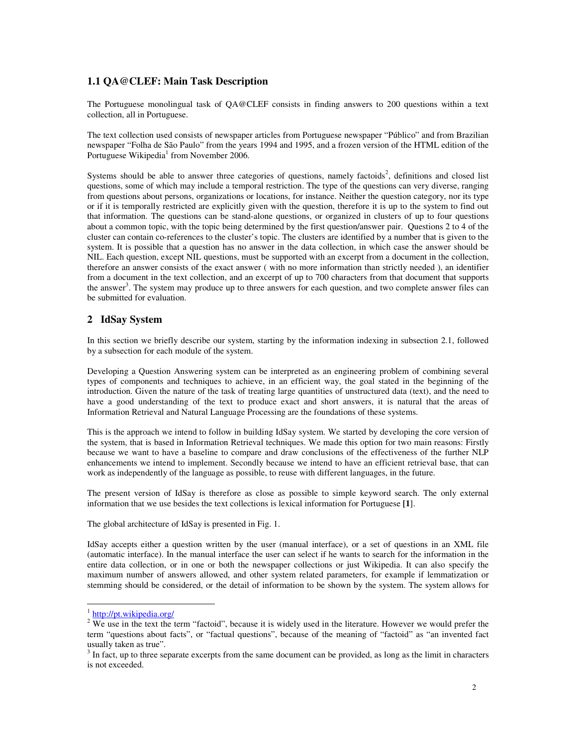### **1.1 QA@CLEF: Main Task Description**

The Portuguese monolingual task of QA@CLEF consists in finding answers to 200 questions within a text collection, all in Portuguese.

The text collection used consists of newspaper articles from Portuguese newspaper "Público" and from Brazilian newspaper "Folha de São Paulo" from the years 1994 and 1995, and a frozen version of the HTML edition of the Portuguese Wikipedia<sup>1</sup> from November 2006.

Systems should be able to answer three categories of questions, namely factoids<sup>2</sup>, definitions and closed list questions, some of which may include a temporal restriction. The type of the questions can very diverse, ranging from questions about persons, organizations or locations, for instance. Neither the question category, nor its type or if it is temporally restricted are explicitly given with the question, therefore it is up to the system to find out that information. The questions can be stand-alone questions, or organized in clusters of up to four questions about a common topic, with the topic being determined by the first question/answer pair. Questions 2 to 4 of the cluster can contain co-references to the cluster's topic. The clusters are identified by a number that is given to the system. It is possible that a question has no answer in the data collection, in which case the answer should be NIL. Each question, except NIL questions, must be supported with an excerpt from a document in the collection, therefore an answer consists of the exact answer ( with no more information than strictly needed ), an identifier from a document in the text collection, and an excerpt of up to 700 characters from that document that supports the answer<sup>3</sup>. The system may produce up to three answers for each question, and two complete answer files can be submitted for evaluation.

### **2 IdSay System**

In this section we briefly describe our system, starting by the information indexing in subsection 2.1, followed by a subsection for each module of the system.

Developing a Question Answering system can be interpreted as an engineering problem of combining several types of components and techniques to achieve, in an efficient way, the goal stated in the beginning of the introduction. Given the nature of the task of treating large quantities of unstructured data (text), and the need to have a good understanding of the text to produce exact and short answers, it is natural that the areas of Information Retrieval and Natural Language Processing are the foundations of these systems.

This is the approach we intend to follow in building IdSay system. We started by developing the core version of the system, that is based in Information Retrieval techniques. We made this option for two main reasons: Firstly because we want to have a baseline to compare and draw conclusions of the effectiveness of the further NLP enhancements we intend to implement. Secondly because we intend to have an efficient retrieval base, that can work as independently of the language as possible, to reuse with different languages, in the future.

The present version of IdSay is therefore as close as possible to simple keyword search. The only external information that we use besides the text collections is lexical information for Portuguese **[1**].

The global architecture of IdSay is presented in Fig. 1.

IdSay accepts either a question written by the user (manual interface), or a set of questions in an XML file (automatic interface). In the manual interface the user can select if he wants to search for the information in the entire data collection, or in one or both the newspaper collections or just Wikipedia. It can also specify the maximum number of answers allowed, and other system related parameters, for example if lemmatization or stemming should be considered, or the detail of information to be shown by the system. The system allows for

 $\overline{a}$ 

<sup>&</sup>lt;sup>1</sup> http://pt.wikipedia.org/

 $2$  We use in the text the term "factoid", because it is widely used in the literature. However we would prefer the term "questions about facts", or "factual questions", because of the meaning of "factoid" as "an invented fact usually taken as true".

 $3 \text{ In fact, up to three separate excerpts from the same document can be provided, as long as the limit in characters.}$ is not exceeded.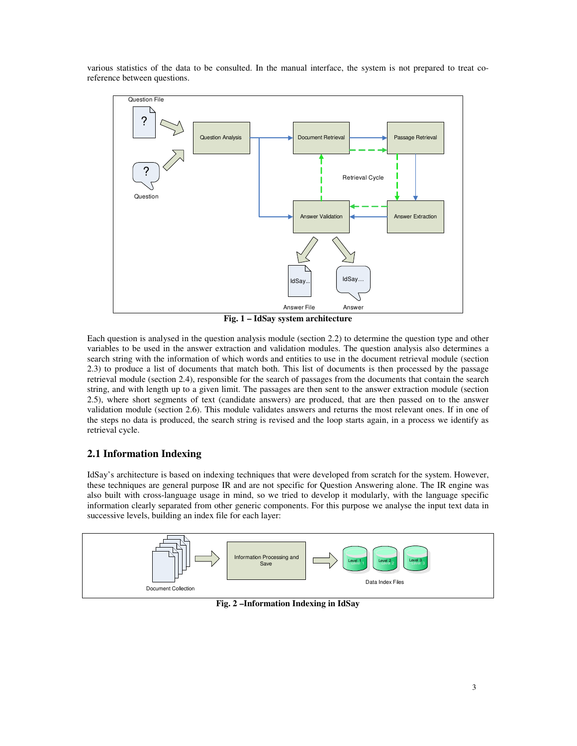various statistics of the data to be consulted. In the manual interface, the system is not prepared to treat coreference between questions.



**Fig. 1 – IdSay system architecture** 

Each question is analysed in the question analysis module (section 2.2) to determine the question type and other variables to be used in the answer extraction and validation modules. The question analysis also determines a search string with the information of which words and entities to use in the document retrieval module (section 2.3) to produce a list of documents that match both. This list of documents is then processed by the passage retrieval module (section 2.4), responsible for the search of passages from the documents that contain the search string, and with length up to a given limit. The passages are then sent to the answer extraction module (section 2.5), where short segments of text (candidate answers) are produced, that are then passed on to the answer validation module (section 2.6). This module validates answers and returns the most relevant ones. If in one of the steps no data is produced, the search string is revised and the loop starts again, in a process we identify as retrieval cycle.

# **2.1 Information Indexing**

IdSay's architecture is based on indexing techniques that were developed from scratch for the system. However, these techniques are general purpose IR and are not specific for Question Answering alone. The IR engine was also built with cross-language usage in mind, so we tried to develop it modularly, with the language specific information clearly separated from other generic components. For this purpose we analyse the input text data in successive levels, building an index file for each layer:



**Fig. 2 –Information Indexing in IdSay**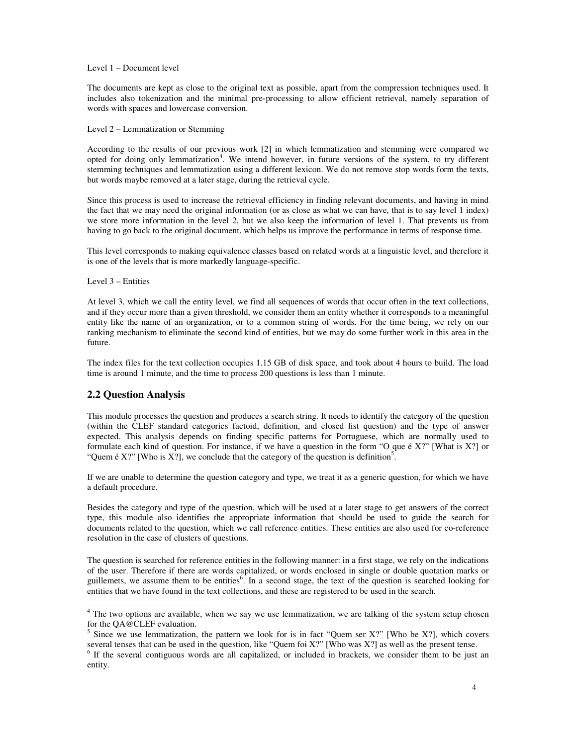#### Level 1 – Document level

The documents are kept as close to the original text as possible, apart from the compression techniques used. It includes also tokenization and the minimal pre-processing to allow efficient retrieval, namely separation of words with spaces and lowercase conversion.

Level 2 – Lemmatization or Stemming

According to the results of our previous work [2] in which lemmatization and stemming were compared we opted for doing only lemmatization<sup>4</sup>. We intend however, in future versions of the system, to try different stemming techniques and lemmatization using a different lexicon. We do not remove stop words form the texts, but words maybe removed at a later stage, during the retrieval cycle.

Since this process is used to increase the retrieval efficiency in finding relevant documents, and having in mind the fact that we may need the original information (or as close as what we can have, that is to say level 1 index) we store more information in the level 2, but we also keep the information of level 1. That prevents us from having to go back to the original document, which helps us improve the performance in terms of response time.

This level corresponds to making equivalence classes based on related words at a linguistic level, and therefore it is one of the levels that is more markedly language-specific.

#### Level 3 – Entities

At level 3, which we call the entity level, we find all sequences of words that occur often in the text collections, and if they occur more than a given threshold, we consider them an entity whether it corresponds to a meaningful entity like the name of an organization, or to a common string of words. For the time being, we rely on our ranking mechanism to eliminate the second kind of entities, but we may do some further work in this area in the future.

The index files for the text collection occupies 1.15 GB of disk space, and took about 4 hours to build. The load time is around 1 minute, and the time to process 200 questions is less than 1 minute.

### **2.2 Question Analysis**

 $\overline{a}$ 

This module processes the question and produces a search string. It needs to identify the category of the question (within the CLEF standard categories factoid, definition, and closed list question) and the type of answer expected. This analysis depends on finding specific patterns for Portuguese, which are normally used to formulate each kind of question. For instance, if we have a question in the form "O que é X?" [What is X?] or "Quem é X?" [Who is X?], we conclude that the category of the question is definition<sup>5</sup>.

If we are unable to determine the question category and type, we treat it as a generic question, for which we have a default procedure.

Besides the category and type of the question, which will be used at a later stage to get answers of the correct type, this module also identifies the appropriate information that should be used to guide the search for documents related to the question, which we call reference entities. These entities are also used for co-reference resolution in the case of clusters of questions.

The question is searched for reference entities in the following manner: in a first stage, we rely on the indications of the user. Therefore if there are words capitalized, or words enclosed in single or double quotation marks or guillemets, we assume them to be entities<sup>6</sup>. In a second stage, the text of the question is searched looking for entities that we have found in the text collections, and these are registered to be used in the search.

<sup>&</sup>lt;sup>4</sup> The two options are available, when we say we use lemmatization, we are talking of the system setup chosen for the QA@CLEF evaluation.

Since we use lemmatization, the pattern we look for is in fact "Quem ser X?" [Who be X?], which covers several tenses that can be used in the question, like "Quem foi  $X$ ?" [Who was  $X$ ?] as well as the present tense.

<sup>&</sup>lt;sup>6</sup> If the several contiguous words are all capitalized, or included in brackets, we consider them to be just an entity.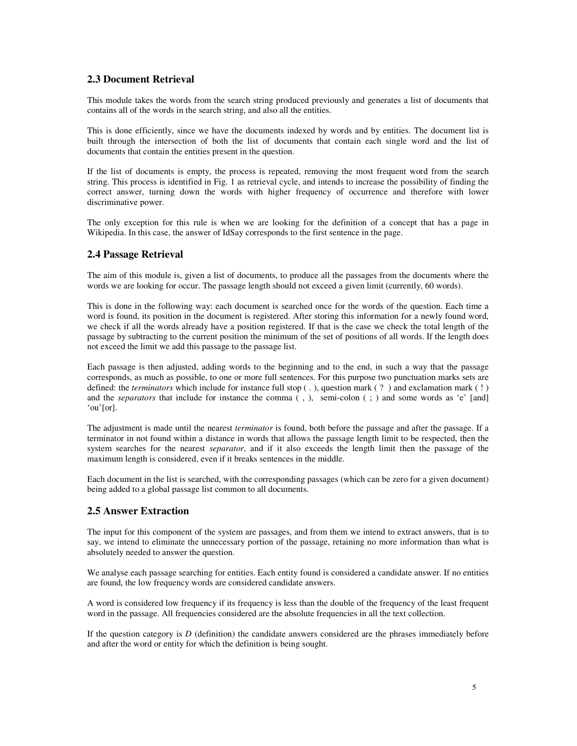# **2.3 Document Retrieval**

This module takes the words from the search string produced previously and generates a list of documents that contains all of the words in the search string, and also all the entities.

This is done efficiently, since we have the documents indexed by words and by entities. The document list is built through the intersection of both the list of documents that contain each single word and the list of documents that contain the entities present in the question.

If the list of documents is empty, the process is repeated, removing the most frequent word from the search string. This process is identified in Fig. 1 as retrieval cycle, and intends to increase the possibility of finding the correct answer, turning down the words with higher frequency of occurrence and therefore with lower discriminative power.

The only exception for this rule is when we are looking for the definition of a concept that has a page in Wikipedia. In this case, the answer of IdSay corresponds to the first sentence in the page.

# **2.4 Passage Retrieval**

The aim of this module is, given a list of documents, to produce all the passages from the documents where the words we are looking for occur. The passage length should not exceed a given limit (currently, 60 words).

This is done in the following way: each document is searched once for the words of the question. Each time a word is found, its position in the document is registered. After storing this information for a newly found word, we check if all the words already have a position registered. If that is the case we check the total length of the passage by subtracting to the current position the minimum of the set of positions of all words. If the length does not exceed the limit we add this passage to the passage list.

Each passage is then adjusted, adding words to the beginning and to the end, in such a way that the passage corresponds, as much as possible, to one or more full sentences. For this purpose two punctuation marks sets are defined: the *terminators* which include for instance full stop ( . ), question mark ( ? ) and exclamation mark ( ! ) and the *separators* that include for instance the comma (, ), semi-colon (; ) and some words as 'e' [and] 'ou'[or].

The adjustment is made until the nearest *terminator* is found, both before the passage and after the passage. If a terminator in not found within a distance in words that allows the passage length limit to be respected, then the system searches for the nearest *separator*, and if it also exceeds the length limit then the passage of the maximum length is considered, even if it breaks sentences in the middle.

Each document in the list is searched, with the corresponding passages (which can be zero for a given document) being added to a global passage list common to all documents.

# **2.5 Answer Extraction**

The input for this component of the system are passages, and from them we intend to extract answers, that is to say, we intend to eliminate the unnecessary portion of the passage, retaining no more information than what is absolutely needed to answer the question.

We analyse each passage searching for entities. Each entity found is considered a candidate answer. If no entities are found, the low frequency words are considered candidate answers.

A word is considered low frequency if its frequency is less than the double of the frequency of the least frequent word in the passage. All frequencies considered are the absolute frequencies in all the text collection.

If the question category is *D* (definition) the candidate answers considered are the phrases immediately before and after the word or entity for which the definition is being sought.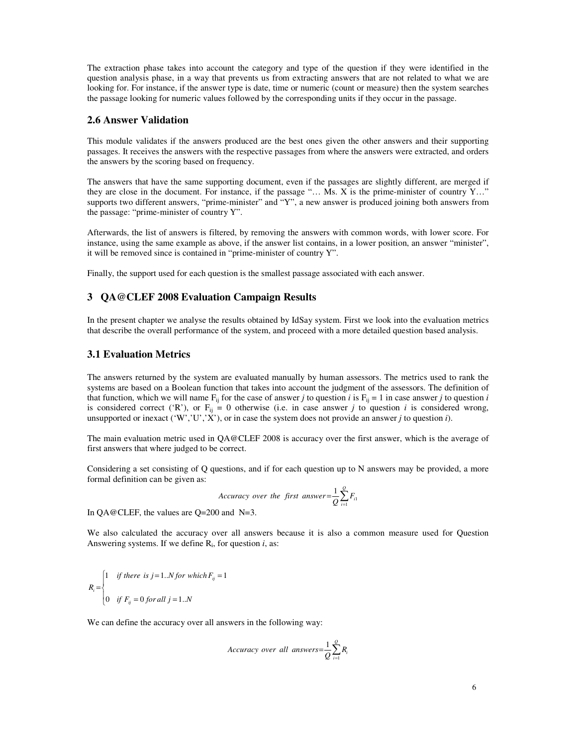The extraction phase takes into account the category and type of the question if they were identified in the question analysis phase, in a way that prevents us from extracting answers that are not related to what we are looking for. For instance, if the answer type is date, time or numeric (count or measure) then the system searches the passage looking for numeric values followed by the corresponding units if they occur in the passage.

### **2.6 Answer Validation**

This module validates if the answers produced are the best ones given the other answers and their supporting passages. It receives the answers with the respective passages from where the answers were extracted, and orders the answers by the scoring based on frequency.

The answers that have the same supporting document, even if the passages are slightly different, are merged if they are close in the document. For instance, if the passage "… Ms. X is the prime-minister of country Y…" supports two different answers, "prime-minister" and "Y", a new answer is produced joining both answers from the passage: "prime-minister of country Y".

Afterwards, the list of answers is filtered, by removing the answers with common words, with lower score. For instance, using the same example as above, if the answer list contains, in a lower position, an answer "minister", it will be removed since is contained in "prime-minister of country Y".

Finally, the support used for each question is the smallest passage associated with each answer.

### **3 QA@CLEF 2008 Evaluation Campaign Results**

In the present chapter we analyse the results obtained by IdSay system. First we look into the evaluation metrics that describe the overall performance of the system, and proceed with a more detailed question based analysis.

### **3.1 Evaluation Metrics**

The answers returned by the system are evaluated manually by human assessors. The metrics used to rank the systems are based on a Boolean function that takes into account the judgment of the assessors. The definition of that function, which we will name  $F_{ij}$  for the case of answer *j* to question *i* is  $F_{ij} = 1$  in case answer *j* to question *i* is considered correct ('R'), or  $F_{ij} = 0$  otherwise (i.e. in case answer *j* to question *i* is considered wrong, unsupported or inexact ('W','U','X'), or in case the system does not provide an answer *j* to question *i*).

The main evaluation metric used in QA@CLEF 2008 is accuracy over the first answer, which is the average of first answers that where judged to be correct.

Considering a set consisting of Q questions, and if for each question up to N answers may be provided, a more formal definition can be given as:

$$
Accuracy\ over\ the\ first\ answer = \frac{1}{Q} \sum_{i=1}^{Q} F_{i1}
$$

In QA@CLEF, the values are Q=200 and N=3.

We also calculated the accuracy over all answers because it is also a common measure used for Question Answering systems. If we define R<sup>i</sup> , for question *i*, as:

$$
R_i = \begin{cases} 1 & \text{if there is } j = 1..N \text{ for which } F_{ij} = 1 \\ 0 & \text{if } F_{ij} = 0 \text{ for all } j = 1..N \end{cases}
$$

We can define the accuracy over all answers in the following way:

$$
Accuracy\ over\ all\ answers = \frac{1}{Q} \sum_{i=1}^{Q} R_i
$$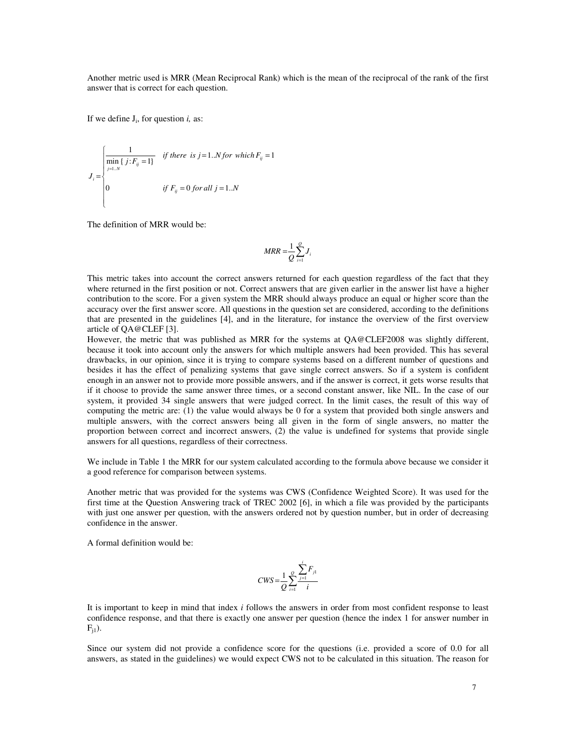Another metric used is MRR (Mean Reciprocal Rank) which is the mean of the reciprocal of the rank of the first answer that is correct for each question.

If we define  $J_i$ , for question  $i$ , as:

$$
J_i = \begin{cases} \frac{1}{\min\{j: F_{ij} = 1\}} & \text{if there is } j = 1..N \text{ for which } F_{ij} = 1\\ 0 & \text{if } F_{ij} = 0 \text{ for all } j = 1..N \end{cases}
$$

The definition of MRR would be:

$$
MRR = \frac{1}{Q} \sum_{i=1}^{Q} J_i
$$

This metric takes into account the correct answers returned for each question regardless of the fact that they where returned in the first position or not. Correct answers that are given earlier in the answer list have a higher contribution to the score. For a given system the MRR should always produce an equal or higher score than the accuracy over the first answer score. All questions in the question set are considered, according to the definitions that are presented in the guidelines [4], and in the literature, for instance the overview of the first overview article of QA@CLEF [3].

However, the metric that was published as MRR for the systems at QA@CLEF2008 was slightly different, because it took into account only the answers for which multiple answers had been provided. This has several drawbacks, in our opinion, since it is trying to compare systems based on a different number of questions and besides it has the effect of penalizing systems that gave single correct answers. So if a system is confident enough in an answer not to provide more possible answers, and if the answer is correct, it gets worse results that if it choose to provide the same answer three times, or a second constant answer, like NIL. In the case of our system, it provided 34 single answers that were judged correct. In the limit cases, the result of this way of computing the metric are: (1) the value would always be 0 for a system that provided both single answers and multiple answers, with the correct answers being all given in the form of single answers, no matter the proportion between correct and incorrect answers, (2) the value is undefined for systems that provide single answers for all questions, regardless of their correctness.

We include in Table 1 the MRR for our system calculated according to the formula above because we consider it a good reference for comparison between systems.

Another metric that was provided for the systems was CWS (Confidence Weighted Score). It was used for the first time at the Question Answering track of TREC 2002 [6], in which a file was provided by the participants with just one answer per question, with the answers ordered not by question number, but in order of decreasing confidence in the answer.

A formal definition would be:

$$
CWS = \frac{1}{Q} \sum_{i=1}^{Q} \frac{\sum_{j=1}^{i} F_{j1}}{i}
$$

It is important to keep in mind that index *i* follows the answers in order from most confident response to least confidence response, and that there is exactly one answer per question (hence the index 1 for answer number in  $F_{i1}$ ).

Since our system did not provide a confidence score for the questions (i.e. provided a score of 0.0 for all answers, as stated in the guidelines) we would expect CWS not to be calculated in this situation. The reason for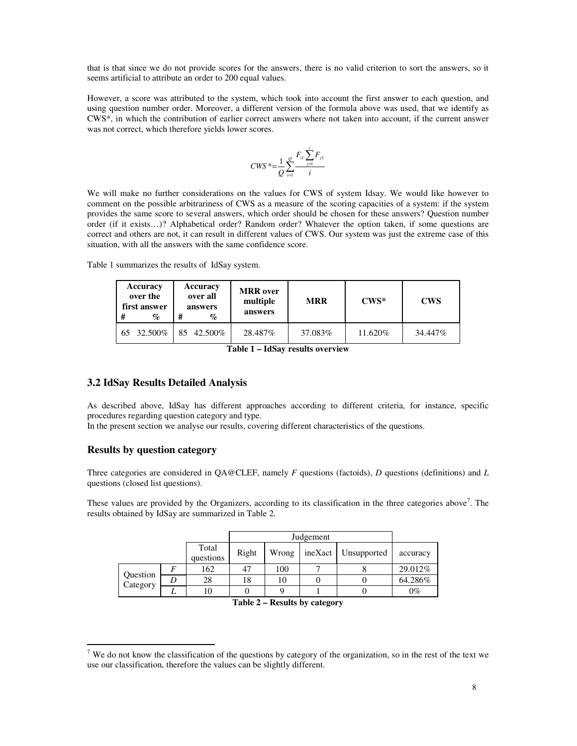that is that since we do not provide scores for the answers, there is no valid criterion to sort the answers, so it seems artificial to attribute an order to 200 equal values.

However, a score was attributed to the system, which took into account the first answer to each question, and using question number order. Moreover, a different version of the formula above was used, that we identify as CWS\*, in which the contribution of earlier correct answers where not taken into account, if the current answer was not correct, which therefore yields lower scores.

$$
CWS^* = \frac{1}{Q} \sum_{i=1}^{Q} \frac{F_{i1} \sum_{j=1}^{i} F_{j1}}{i}
$$

We will make no further considerations on the values for CWS of system Idsay. We would like however to comment on the possible arbitrariness of CWS as a measure of the scoring capacities of a system: if the system provides the same score to several answers, which order should be chosen for these answers? Question number order (if it exists…)? Alphabetical order? Random order? Whatever the option taken, if some questions are correct and others are not, it can result in different values of CWS. Our system was just the extreme case of this situation, with all the answers with the same confidence score.

Table 1 summarizes the results of IdSay system.

| # | Accuracy<br>over the<br>first answer<br>$\%$ |    | Accuracy<br>over all<br>answers<br>% | <b>MRR</b> over<br>multiple<br>answers | <b>MRR</b> | $CWS*$  | <b>CWS</b> |  |
|---|----------------------------------------------|----|--------------------------------------|----------------------------------------|------------|---------|------------|--|
|   | 65 32.500\%                                  | 85 | 42.500%                              | 28.487%                                | 37.083%    | 11.620% | 34.447%    |  |

# **3.2 IdSay Results Detailed Analysis**

As described above, IdSay has different approaches according to different criteria, for instance, specific procedures regarding question category and type.

In the present section we analyse our results, covering different characteristics of the questions.

# **Results by question category**

 $\overline{a}$ 

Three categories are considered in QA@CLEF, namely *F* questions (factoids), *D* questions (definitions) and *L* questions (closed list questions).

These values are provided by the Organizers, according to its classification in the three categories above<sup>7</sup>. The results obtained by IdSay are summarized in Table 2.

|                      |   | Total<br>questions | Right | Wrong | ineXact | Unsupported | accuracy |
|----------------------|---|--------------------|-------|-------|---------|-------------|----------|
| Question<br>Category |   | 162                |       | 100   |         |             | 29.012%  |
|                      | D | 28                 | 18    | 10    |         |             | 64.286%  |
|                      |   | 10                 |       |       |         |             | $0\%$    |

**Table 2 – Results by category** 

<sup>&</sup>lt;sup>7</sup> We do not know the classification of the questions by category of the organization, so in the rest of the text we use our classification, therefore the values can be slightly different.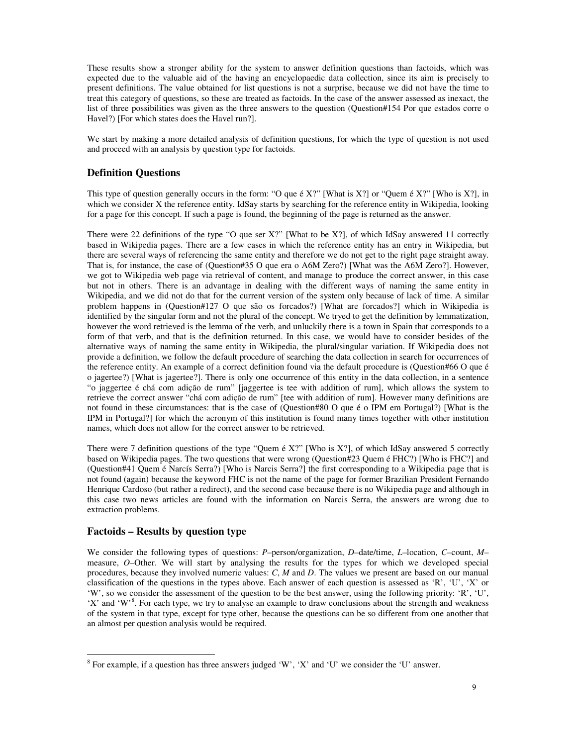These results show a stronger ability for the system to answer definition questions than factoids, which was expected due to the valuable aid of the having an encyclopaedic data collection, since its aim is precisely to present definitions. The value obtained for list questions is not a surprise, because we did not have the time to treat this category of questions, so these are treated as factoids. In the case of the answer assessed as inexact, the list of three possibilities was given as the three answers to the question (Question#154 Por que estados corre o Havel?) [For which states does the Havel run?].

We start by making a more detailed analysis of definition questions, for which the type of question is not used and proceed with an analysis by question type for factoids.

# **Definition Questions**

This type of question generally occurs in the form: "O que é X?" [What is X?] or "Quem é X?" [Who is X?], in which we consider X the reference entity. IdSay starts by searching for the reference entity in Wikipedia, looking for a page for this concept. If such a page is found, the beginning of the page is returned as the answer.

There were 22 definitions of the type "O que ser X?" [What to be X?], of which IdSay answered 11 correctly based in Wikipedia pages. There are a few cases in which the reference entity has an entry in Wikipedia, but there are several ways of referencing the same entity and therefore we do not get to the right page straight away. That is, for instance, the case of (Question#35 O que era o A6M Zero?) [What was the A6M Zero?]. However, we got to Wikipedia web page via retrieval of content, and manage to produce the correct answer, in this case but not in others. There is an advantage in dealing with the different ways of naming the same entity in Wikipedia, and we did not do that for the current version of the system only because of lack of time. A similar problem happens in (Question#127 O que são os forcados?) [What are forcados?] which in Wikipedia is identified by the singular form and not the plural of the concept. We tryed to get the definition by lemmatization, however the word retrieved is the lemma of the verb, and unluckily there is a town in Spain that corresponds to a form of that verb, and that is the definition returned. In this case, we would have to consider besides of the alternative ways of naming the same entity in Wikipedia, the plural/singular variation. If Wikipedia does not provide a definition, we follow the default procedure of searching the data collection in search for occurrences of the reference entity. An example of a correct definition found via the default procedure is (Question#66 O que é o jagertee?) [What is jagertee?]. There is only one occurrence of this entity in the data collection, in a sentence "o jaggertee é chá com adição de rum" [jaggertee is tee with addition of rum], which allows the system to retrieve the correct answer "chá com adição de rum" [tee with addition of rum]. However many definitions are not found in these circumstances: that is the case of (Question#80 O que é o IPM em Portugal?) [What is the IPM in Portugal?] for which the acronym of this institution is found many times together with other institution names, which does not allow for the correct answer to be retrieved.

There were 7 definition questions of the type "Quem é X?" [Who is X?], of which IdSay answered 5 correctly based on Wikipedia pages. The two questions that were wrong (Question#23 Quem é FHC?) [Who is FHC?] and (Question#41 Quem é Narcís Serra?) [Who is Narcis Serra?] the first corresponding to a Wikipedia page that is not found (again) because the keyword FHC is not the name of the page for former Brazilian President Fernando Henrique Cardoso (but rather a redirect), and the second case because there is no Wikipedia page and although in this case two news articles are found with the information on Narcis Serra, the answers are wrong due to extraction problems.

### **Factoids – Results by question type**

 $\overline{a}$ 

We consider the following types of questions: *P*–person/organization, *D*–date/time, *L*–location, *C*–count, *M*– measure, *O*–Other. We will start by analysing the results for the types for which we developed special procedures, because they involved numeric values: *C*, *M* and *D*. The values we present are based on our manual classification of the questions in the types above. Each answer of each question is assessed as 'R', 'U', 'X' or 'W', so we consider the assessment of the question to be the best answer, using the following priority: 'R', 'U', 'X' and 'W'<sup>8</sup>. For each type, we try to analyse an example to draw conclusions about the strength and weakness of the system in that type, except for type other, because the questions can be so different from one another that an almost per question analysis would be required.

 $8$  For example, if a question has three answers judged 'W', 'X' and 'U' we consider the 'U' answer.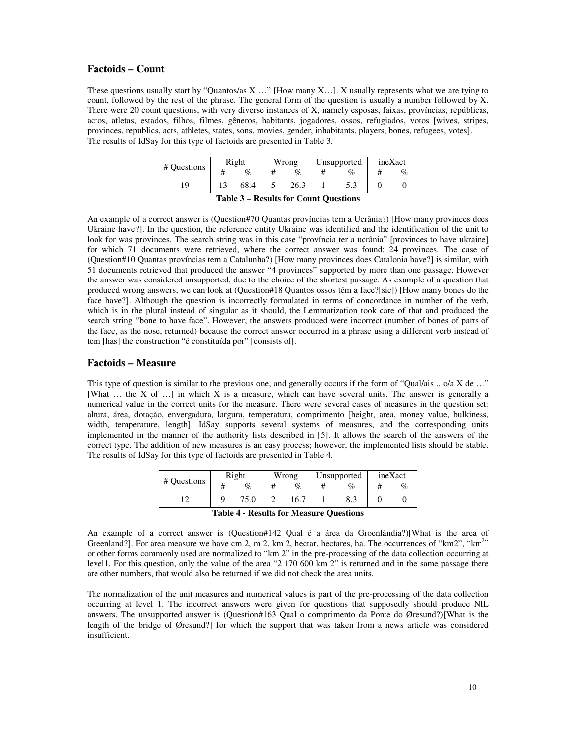#### **Factoids – Count**

These questions usually start by "Quantos/as X …" [How many X…]. X usually represents what we are tying to count, followed by the rest of the phrase. The general form of the question is usually a number followed by X. There were 20 count questions, with very diverse instances of X, namely esposas, faixas, províncias, repúblicas, actos, atletas, estados, filhos, filmes, gêneros, habitants, jogadores, ossos, refugiados, votos [wives, stripes, provinces, republics, acts, athletes, states, sons, movies, gender, inhabitants, players, bones, refugees, votes]. The results of IdSay for this type of factoids are presented in Table 3.

|             | Right |                        | Wrong                                          |      | Unsupported |     | ineXact |                   |  |  |  |
|-------------|-------|------------------------|------------------------------------------------|------|-------------|-----|---------|-------------------|--|--|--|
| # Questions |       | %                      |                                                | $\%$ |             | %   |         | $O_{\mathcal{L}}$ |  |  |  |
| l9          |       | 68.4                   |                                                | 26.3 |             | J.J |         |                   |  |  |  |
|             |       | $\sim$<br>$\mathbf{r}$ | .<br>$\cdots$<br>$\sim$<br>$\sim$<br>$\cdot$ . |      |             |     |         |                   |  |  |  |

**Table 3 – Results for Count Questions** 

An example of a correct answer is (Question#70 Quantas províncias tem a Ucrânia?) [How many provinces does Ukraine have?]. In the question, the reference entity Ukraine was identified and the identification of the unit to look for was provinces. The search string was in this case "província ter a ucrânia" [provinces to have ukraine] for which 71 documents were retrieved, where the correct answer was found: 24 provinces. The case of (Question#10 Quantas províncias tem a Catalunha?) [How many provinces does Catalonia have?] is similar, with 51 documents retrieved that produced the answer "4 provinces" supported by more than one passage. However the answer was considered unsupported, due to the choice of the shortest passage. As example of a question that produced wrong answers, we can look at (Question#18 Quantos ossos têm a face?[sic]) [How many bones do the face have?]. Although the question is incorrectly formulated in terms of concordance in number of the verb, which is in the plural instead of singular as it should, the Lemmatization took care of that and produced the search string "bone to have face". However, the answers produced were incorrect (number of bones of parts of the face, as the nose, returned) because the correct answer occurred in a phrase using a different verb instead of tem [has] the construction "é constituída por" [consists of].

### **Factoids – Measure**

This type of question is similar to the previous one, and generally occurs if the form of "Qual/ais .. o/a X de ..." [What ... the X of ...] in which X is a measure, which can have several units. The answer is generally a numerical value in the correct units for the measure. There were several cases of measures in the question set: altura, área, dotação, envergadura, largura, temperatura, comprimento [height, area, money value, bulkiness, width, temperature, length]. IdSay supports several systems of measures, and the corresponding units implemented in the manner of the authority lists described in [5]. It allows the search of the answers of the correct type. The addition of new measures is an easy process; however, the implemented lists should be stable. The results of IdSay for this type of factoids are presented in Table 4.

| # Questions                             | Right |      | Wrong |      | Unsupported |                             | ineXact |  |  |
|-----------------------------------------|-------|------|-------|------|-------------|-----------------------------|---------|--|--|
|                                         |       | %    |       | %    |             | $\mathcal{O}_{\mathcal{L}}$ |         |  |  |
|                                         | Q     | 75.0 |       | 16.7 |             |                             |         |  |  |
| Toble 4 - Deculte for Measure Questions |       |      |       |      |             |                             |         |  |  |

**Table 4 - Results for Measure Questions** 

An example of a correct answer is (Question#142 Qual é a área da Groenlândia?)[What is the area of Greenland?]. For area measure we have cm 2, m 2, km 2, hectar, hectares, ha. The occurrences of "km2", "km<sup>2</sup>" or other forms commonly used are normalized to "km 2" in the pre-processing of the data collection occurring at level1. For this question, only the value of the area "2 170 600 km 2" is returned and in the same passage there are other numbers, that would also be returned if we did not check the area units.

The normalization of the unit measures and numerical values is part of the pre-processing of the data collection occurring at level 1. The incorrect answers were given for questions that supposedly should produce NIL answers. The unsupported answer is (Question#163 Qual o comprimento da Ponte do Øresund?)[What is the length of the bridge of Øresund?] for which the support that was taken from a news article was considered insufficient.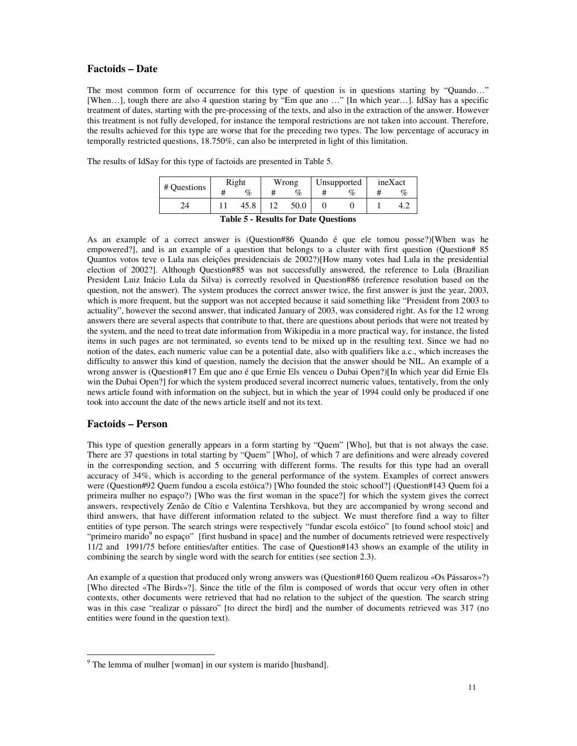### **Factoids – Date**

The most common form of occurrence for this type of question is in questions starting by "Quando…" [When…], tough there are also 4 question staring by "Em que ano …" [In which year…]. IdSay has a specific treatment of dates, starting with the pre-processing of the texts, and also in the extraction of the answer. However this treatment is not fully developed, for instance the temporal restrictions are not taken into account. Therefore, the results achieved for this type are worse that for the preceding two types. The low percentage of accuracy in temporally restricted questions, 18.750%, can also be interpreted in light of this limitation.

| # Ouestions                                 | Right |      | Wrong |      | Unsupported |      | ineXact |      |  |
|---------------------------------------------|-------|------|-------|------|-------------|------|---------|------|--|
|                                             | ⋣     | %    |       | %    |             | $\%$ |         | $\%$ |  |
| 24                                          |       | 45.8 |       | 50.0 |             |      |         | 4.2  |  |
| <b>Table 5 - Results for Date Ouestions</b> |       |      |       |      |             |      |         |      |  |

The results of IdSay for this type of factoids are presented in Table 5.

As an example of a correct answer is (Question#86 Quando é que ele tomou posse?)[When was he empowered?], and is an example of a question that belongs to a cluster with first question (Question# 85 Quantos votos teve o Lula nas eleições presidenciais de 2002?)[How many votes had Lula in the presidential election of 2002?]. Although Question#85 was not successfully answered, the reference to Lula (Brazilian President Luiz Inácio Lula da Silva) is correctly resolved in Question#86 (reference resolution based on the question, not the answer). The system produces the correct answer twice, the first answer is just the year, 2003, which is more frequent, but the support was not accepted because it said something like "President from 2003 to actuality", however the second answer, that indicated January of 2003, was considered right. As for the 12 wrong answers there are several aspects that contribute to that, there are questions about periods that were not treated by the system, and the need to treat date information from Wikipedia in a more practical way, for instance, the listed items in such pages are not terminated, so events tend to be mixed up in the resulting text. Since we had no notion of the dates, each numeric value can be a potential date, also with qualifiers like a.c., which increases the difficulty to answer this kind of question, namely the decision that the answer should be NIL. An example of a wrong answer is (Question#17 Em que ano é que Ernie Els venceu o Dubai Open?)[In which year did Ernie Els win the Dubai Open?] for which the system produced several incorrect numeric values, tentatively, from the only news article found with information on the subject, but in which the year of 1994 could only be produced if one took into account the date of the news article itself and not its text.

### **Factoids – Person**

 $\overline{a}$ 

This type of question generally appears in a form starting by "Quem" [Who], but that is not always the case. There are 37 questions in total starting by "Quem" [Who], of which 7 are definitions and were already covered in the corresponding section, and 5 occurring with different forms. The results for this type had an overall accuracy of 34%, which is according to the general performance of the system. Examples of correct answers were (Question#92 Quem fundou a escola estóica?) [Who founded the stoic school?] (Question#143 Quem foi a primeira mulher no espaço?) [Who was the first woman in the space?] for which the system gives the correct answers, respectively Zenão de Cítio e Valentina Tershkova, but they are accompanied by wrong second and third answers, that have different information related to the subject. We must therefore find a way to filter entities of type person. The search strings were respectively "fundar escola estóico" [to found school stoic] and "primeiro marido<sup>9</sup> no espaço" [first husband in space] and the number of documents retrieved were respectively 11/2 and 1991/75 before entities/after entities. The case of Question#143 shows an example of the utility in combining the search by single word with the search for entities (see section 2.3).

An example of a question that produced only wrong answers was (Question#160 Quem realizou «Os Pássaros»?) [Who directed «The Birds»?]. Since the title of the film is composed of words that occur very often in other contexts, other documents were retrieved that had no relation to the subject of the question. The search string was in this case "realizar o pássaro" [to direct the bird] and the number of documents retrieved was 317 (no entities were found in the question text).

<sup>&</sup>lt;sup>9</sup> The lemma of mulher [woman] in our system is marido [husband].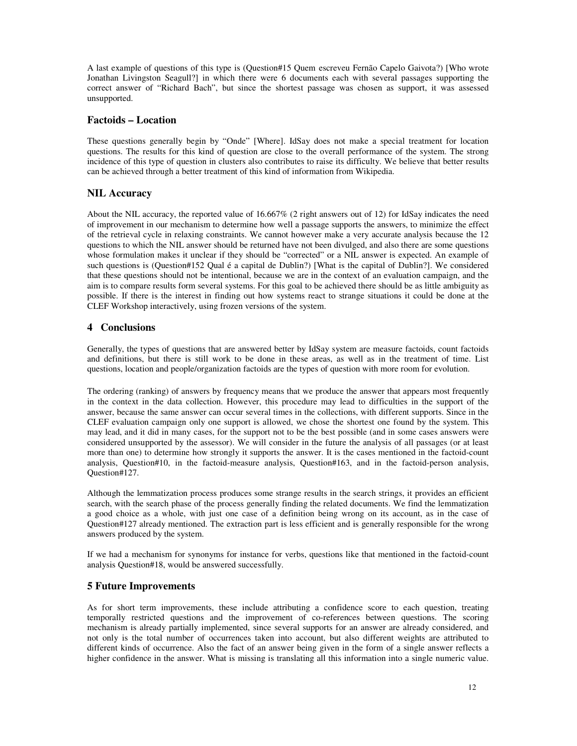A last example of questions of this type is (Question#15 Quem escreveu Fernão Capelo Gaivota?) [Who wrote Jonathan Livingston Seagull?] in which there were 6 documents each with several passages supporting the correct answer of "Richard Bach", but since the shortest passage was chosen as support, it was assessed unsupported.

# **Factoids – Location**

These questions generally begin by "Onde" [Where]. IdSay does not make a special treatment for location questions. The results for this kind of question are close to the overall performance of the system. The strong incidence of this type of question in clusters also contributes to raise its difficulty. We believe that better results can be achieved through a better treatment of this kind of information from Wikipedia.

# **NIL Accuracy**

About the NIL accuracy, the reported value of 16.667% (2 right answers out of 12) for IdSay indicates the need of improvement in our mechanism to determine how well a passage supports the answers, to minimize the effect of the retrieval cycle in relaxing constraints. We cannot however make a very accurate analysis because the 12 questions to which the NIL answer should be returned have not been divulged, and also there are some questions whose formulation makes it unclear if they should be "corrected" or a NIL answer is expected. An example of such questions is (Question#152 Qual é a capital de Dublin?) [What is the capital of Dublin?]. We considered that these questions should not be intentional, because we are in the context of an evaluation campaign, and the aim is to compare results form several systems. For this goal to be achieved there should be as little ambiguity as possible. If there is the interest in finding out how systems react to strange situations it could be done at the CLEF Workshop interactively, using frozen versions of the system.

# **4 Conclusions**

Generally, the types of questions that are answered better by IdSay system are measure factoids, count factoids and definitions, but there is still work to be done in these areas, as well as in the treatment of time. List questions, location and people/organization factoids are the types of question with more room for evolution.

The ordering (ranking) of answers by frequency means that we produce the answer that appears most frequently in the context in the data collection. However, this procedure may lead to difficulties in the support of the answer, because the same answer can occur several times in the collections, with different supports. Since in the CLEF evaluation campaign only one support is allowed, we chose the shortest one found by the system. This may lead, and it did in many cases, for the support not to be the best possible (and in some cases answers were considered unsupported by the assessor). We will consider in the future the analysis of all passages (or at least more than one) to determine how strongly it supports the answer. It is the cases mentioned in the factoid-count analysis, Question#10, in the factoid-measure analysis, Question#163, and in the factoid-person analysis, Question#127.

Although the lemmatization process produces some strange results in the search strings, it provides an efficient search, with the search phase of the process generally finding the related documents. We find the lemmatization a good choice as a whole, with just one case of a definition being wrong on its account, as in the case of Question#127 already mentioned. The extraction part is less efficient and is generally responsible for the wrong answers produced by the system.

If we had a mechanism for synonyms for instance for verbs, questions like that mentioned in the factoid-count analysis Question#18, would be answered successfully.

# **5 Future Improvements**

As for short term improvements, these include attributing a confidence score to each question, treating temporally restricted questions and the improvement of co-references between questions. The scoring mechanism is already partially implemented, since several supports for an answer are already considered, and not only is the total number of occurrences taken into account, but also different weights are attributed to different kinds of occurrence. Also the fact of an answer being given in the form of a single answer reflects a higher confidence in the answer. What is missing is translating all this information into a single numeric value.